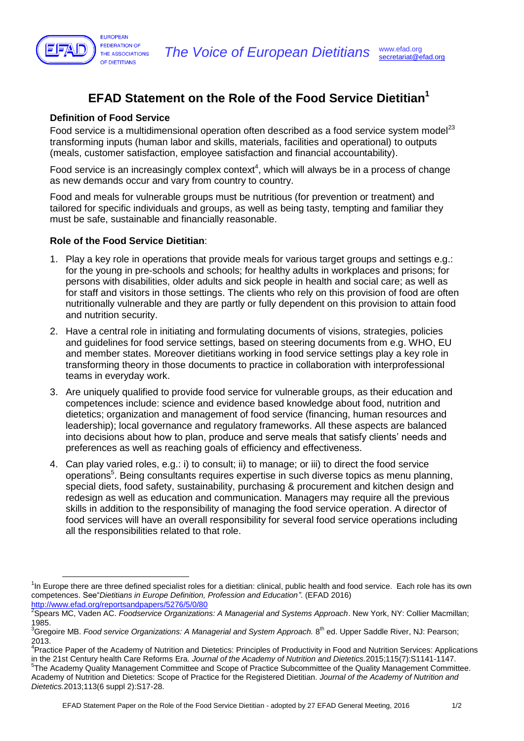

# **EFAD Statement on the Role of the Food Service Dietitian<sup>1</sup>**

### **Definition of Food Service**

Food service is a multidimensional operation often described as a food service system model<sup>23</sup> transforming inputs (human labor and skills, materials, facilities and operational) to outputs (meals, customer satisfaction, employee satisfaction and financial accountability).

Food service is an increasingly complex context<sup>4</sup>, which will always be in a process of change as new demands occur and vary from country to country.

Food and meals for vulnerable groups must be nutritious (for prevention or treatment) and tailored for specific individuals and groups, as well as being tasty, tempting and familiar they must be safe, sustainable and financially reasonable.

#### **Role of the Food Service Dietitian**:

 $\overline{a}$ 

- 1. Play a key role in operations that provide meals for various target groups and settings e.g.: for the young in pre-schools and schools; for healthy adults in workplaces and prisons; for persons with disabilities, older adults and sick people in health and social care; as well as for staff and visitors in those settings. The clients who rely on this provision of food are often nutritionally vulnerable and they are partly or fully dependent on this provision to attain food and nutrition security.
- 2. Have a central role in initiating and formulating documents of visions, strategies, policies and guidelines for food service settings, based on steering documents from e.g. WHO, EU and member states. Moreover dietitians working in food service settings play a key role in transforming theory in those documents to practice in collaboration with interprofessional teams in everyday work.
- 3. Are uniquely qualified to provide food service for vulnerable groups, as their education and competences include: science and evidence based knowledge about food, nutrition and dietetics; organization and management of food service (financing, human resources and leadership); local governance and regulatory frameworks. All these aspects are balanced into decisions about how to plan, produce and serve meals that satisfy clients' needs and preferences as well as reaching goals of efficiency and effectiveness.
- 4. Can play varied roles, e.g.: i) to consult; ii) to manage; or iii) to direct the food service operations<sup>5</sup>. Being consultants requires expertise in such diverse topics as menu planning, special diets, food safety, sustainability, purchasing & procurement and kitchen design and redesign as well as education and communication. Managers may require all the previous skills in addition to the responsibility of managing the food service operation. A director of food services will have an overall responsibility for several food service operations including all the responsibilities related to that role.

<sup>&</sup>lt;sup>1</sup>In Europe there are three defined specialist roles for a dietitian: clinical, public health and food service. Each role has its own competences. See"*Dietitians in Europe Definition, Profession and Education"*. (EFAD 2016) <http://www.efad.org/reportsandpapers/5276/5/0/80>

<sup>2</sup> Spears MC, Vaden AC. *Foodservice Organizations: A Managerial and Systems Approach*. New York, NY: Collier Macmillan; 1985.

<sup>&</sup>lt;sup>3</sup>Gregoire MB. *Food service Organizations: A Managerial and System Approach.* 8<sup>th</sup> ed. Upper Saddle River, NJ: Pearson; 2013.

<sup>&</sup>lt;sup>4</sup>Practice Paper of the Academy of Nutrition and Dietetics: Principles of Productivity in Food and Nutrition Services: Applications in the 21st Century health Care Reforms Era. *Journal of the Academy of Nutrition and Dietetics.*2015;115(7):S1141-1147. <sup>5</sup>The Academy Quality Management Committee and Scope of Practice Subcommittee of the Quality Management Committee. Academy of Nutrition and Dietetics: Scope of Practice for the Registered Dietitian. *Journal of the Academy of Nutrition and Dietetics.*2013;113(6 suppl 2):S17-28.